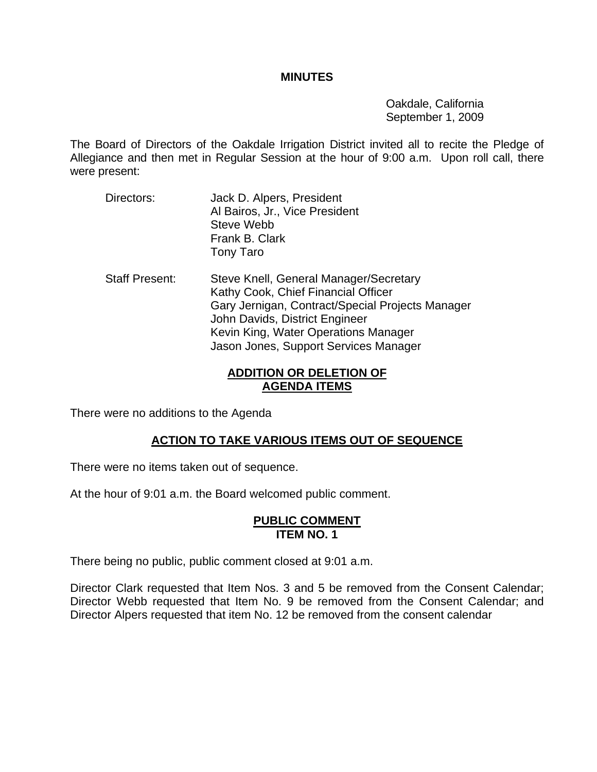#### **MINUTES**

 Oakdale, California September 1, 2009

The Board of Directors of the Oakdale Irrigation District invited all to recite the Pledge of Allegiance and then met in Regular Session at the hour of 9:00 a.m. Upon roll call, there were present:

- Directors: Jack D. Alpers, President Al Bairos, Jr., Vice President Steve Webb Frank B. Clark Tony Taro
- Staff Present: Steve Knell, General Manager/Secretary Kathy Cook, Chief Financial Officer Gary Jernigan, Contract/Special Projects Manager John Davids, District Engineer Kevin King, Water Operations Manager Jason Jones, Support Services Manager

### **ADDITION OR DELETION OF AGENDA ITEMS**

There were no additions to the Agenda

## **ACTION TO TAKE VARIOUS ITEMS OUT OF SEQUENCE**

There were no items taken out of sequence.

At the hour of 9:01 a.m. the Board welcomed public comment.

#### **PUBLIC COMMENT ITEM NO. 1**

There being no public, public comment closed at 9:01 a.m.

Director Clark requested that Item Nos. 3 and 5 be removed from the Consent Calendar; Director Webb requested that Item No. 9 be removed from the Consent Calendar; and Director Alpers requested that item No. 12 be removed from the consent calendar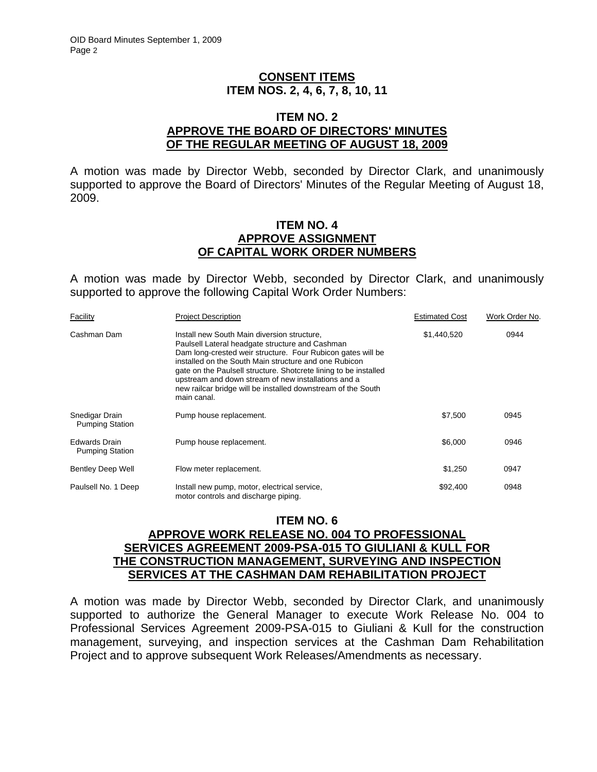### **CONSENT ITEMS ITEM NOS. 2, 4, 6, 7, 8, 10, 11**

#### **ITEM NO. 2 APPROVE THE BOARD OF DIRECTORS' MINUTES OF THE REGULAR MEETING OF AUGUST 18, 2009**

A motion was made by Director Webb, seconded by Director Clark, and unanimously supported to approve the Board of Directors' Minutes of the Regular Meeting of August 18, 2009.

#### **ITEM NO. 4 APPROVE ASSIGNMENT OF CAPITAL WORK ORDER NUMBERS**

A motion was made by Director Webb, seconded by Director Clark, and unanimously supported to approve the following Capital Work Order Numbers:

| Facility                                       | <b>Project Description</b>                                                                                                                                                                                                                                                                                                                                                                                                       | <b>Estimated Cost</b> | Work Order No. |
|------------------------------------------------|----------------------------------------------------------------------------------------------------------------------------------------------------------------------------------------------------------------------------------------------------------------------------------------------------------------------------------------------------------------------------------------------------------------------------------|-----------------------|----------------|
| Cashman Dam                                    | Install new South Main diversion structure.<br>Paulsell Lateral headgate structure and Cashman<br>Dam long-crested weir structure. Four Rubicon gates will be<br>installed on the South Main structure and one Rubicon<br>gate on the Paulsell structure. Shotcrete lining to be installed<br>upstream and down stream of new installations and a<br>new railcar bridge will be installed downstream of the South<br>main canal. | \$1,440,520           | 0944           |
| Snedigar Drain<br><b>Pumping Station</b>       | Pump house replacement.                                                                                                                                                                                                                                                                                                                                                                                                          | \$7,500               | 0945           |
| <b>Edwards Drain</b><br><b>Pumping Station</b> | Pump house replacement.                                                                                                                                                                                                                                                                                                                                                                                                          | \$6,000               | 0946           |
| <b>Bentley Deep Well</b>                       | Flow meter replacement.                                                                                                                                                                                                                                                                                                                                                                                                          | \$1,250               | 0947           |
| Paulsell No. 1 Deep                            | Install new pump, motor, electrical service,<br>motor controls and discharge piping.                                                                                                                                                                                                                                                                                                                                             | \$92,400              | 0948           |

### **ITEM NO. 6 APPROVE WORK RELEASE NO. 004 TO PROFESSIONAL SERVICES AGREEMENT 2009-PSA-015 TO GIULIANI & KULL FOR THE CONSTRUCTION MANAGEMENT, SURVEYING AND INSPECTION SERVICES AT THE CASHMAN DAM REHABILITATION PROJECT**

A motion was made by Director Webb, seconded by Director Clark, and unanimously supported to authorize the General Manager to execute Work Release No. 004 to Professional Services Agreement 2009-PSA-015 to Giuliani & Kull for the construction management, surveying, and inspection services at the Cashman Dam Rehabilitation Project and to approve subsequent Work Releases/Amendments as necessary.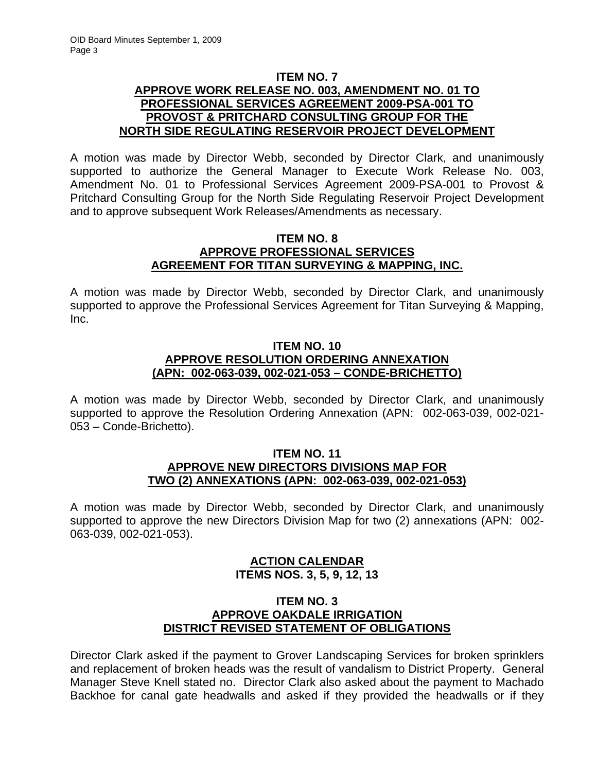### **ITEM NO. 7 APPROVE WORK RELEASE NO. 003, AMENDMENT NO. 01 TO PROFESSIONAL SERVICES AGREEMENT 2009-PSA-001 TO PROVOST & PRITCHARD CONSULTING GROUP FOR THE NORTH SIDE REGULATING RESERVOIR PROJECT DEVELOPMENT**

A motion was made by Director Webb, seconded by Director Clark, and unanimously supported to authorize the General Manager to Execute Work Release No. 003, Amendment No. 01 to Professional Services Agreement 2009-PSA-001 to Provost & Pritchard Consulting Group for the North Side Regulating Reservoir Project Development and to approve subsequent Work Releases/Amendments as necessary.

### **ITEM NO. 8 APPROVE PROFESSIONAL SERVICES AGREEMENT FOR TITAN SURVEYING & MAPPING, INC.**

A motion was made by Director Webb, seconded by Director Clark, and unanimously supported to approve the Professional Services Agreement for Titan Surveying & Mapping, Inc.

### **ITEM NO. 10 APPROVE RESOLUTION ORDERING ANNEXATION (APN: 002-063-039, 002-021-053 – CONDE-BRICHETTO)**

A motion was made by Director Webb, seconded by Director Clark, and unanimously supported to approve the Resolution Ordering Annexation (APN: 002-063-039, 002-021- 053 – Conde-Brichetto).

#### **ITEM NO. 11 APPROVE NEW DIRECTORS DIVISIONS MAP FOR TWO (2) ANNEXATIONS (APN: 002-063-039, 002-021-053)**

A motion was made by Director Webb, seconded by Director Clark, and unanimously supported to approve the new Directors Division Map for two (2) annexations (APN: 002- 063-039, 002-021-053).

## **ACTION CALENDAR ITEMS NOS. 3, 5, 9, 12, 13**

### **ITEM NO. 3 APPROVE OAKDALE IRRIGATION DISTRICT REVISED STATEMENT OF OBLIGATIONS**

Director Clark asked if the payment to Grover Landscaping Services for broken sprinklers and replacement of broken heads was the result of vandalism to District Property. General Manager Steve Knell stated no. Director Clark also asked about the payment to Machado Backhoe for canal gate headwalls and asked if they provided the headwalls or if they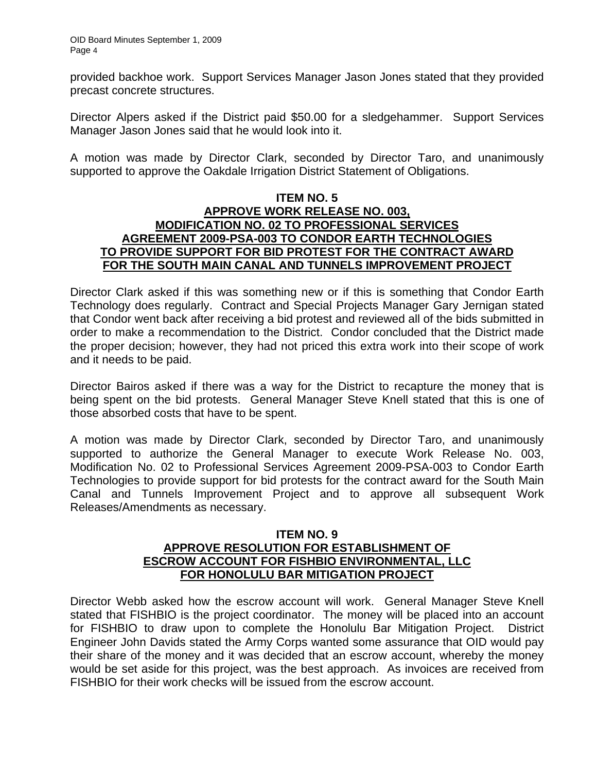provided backhoe work. Support Services Manager Jason Jones stated that they provided precast concrete structures.

Director Alpers asked if the District paid \$50.00 for a sledgehammer. Support Services Manager Jason Jones said that he would look into it.

A motion was made by Director Clark, seconded by Director Taro, and unanimously supported to approve the Oakdale Irrigation District Statement of Obligations.

### **ITEM NO. 5 APPROVE WORK RELEASE NO. 003, MODIFICATION NO. 02 TO PROFESSIONAL SERVICES AGREEMENT 2009-PSA-003 TO CONDOR EARTH TECHNOLOGIES TO PROVIDE SUPPORT FOR BID PROTEST FOR THE CONTRACT AWARD FOR THE SOUTH MAIN CANAL AND TUNNELS IMPROVEMENT PROJECT**

Director Clark asked if this was something new or if this is something that Condor Earth Technology does regularly. Contract and Special Projects Manager Gary Jernigan stated that Condor went back after receiving a bid protest and reviewed all of the bids submitted in order to make a recommendation to the District. Condor concluded that the District made the proper decision; however, they had not priced this extra work into their scope of work and it needs to be paid.

Director Bairos asked if there was a way for the District to recapture the money that is being spent on the bid protests. General Manager Steve Knell stated that this is one of those absorbed costs that have to be spent.

A motion was made by Director Clark, seconded by Director Taro, and unanimously supported to authorize the General Manager to execute Work Release No. 003, Modification No. 02 to Professional Services Agreement 2009-PSA-003 to Condor Earth Technologies to provide support for bid protests for the contract award for the South Main Canal and Tunnels Improvement Project and to approve all subsequent Work Releases/Amendments as necessary.

### **ITEM NO. 9 APPROVE RESOLUTION FOR ESTABLISHMENT OF ESCROW ACCOUNT FOR FISHBIO ENVIRONMENTAL, LLC FOR HONOLULU BAR MITIGATION PROJECT**

Director Webb asked how the escrow account will work. General Manager Steve Knell stated that FISHBIO is the project coordinator. The money will be placed into an account for FISHBIO to draw upon to complete the Honolulu Bar Mitigation Project. District Engineer John Davids stated the Army Corps wanted some assurance that OID would pay their share of the money and it was decided that an escrow account, whereby the money would be set aside for this project, was the best approach. As invoices are received from FISHBIO for their work checks will be issued from the escrow account.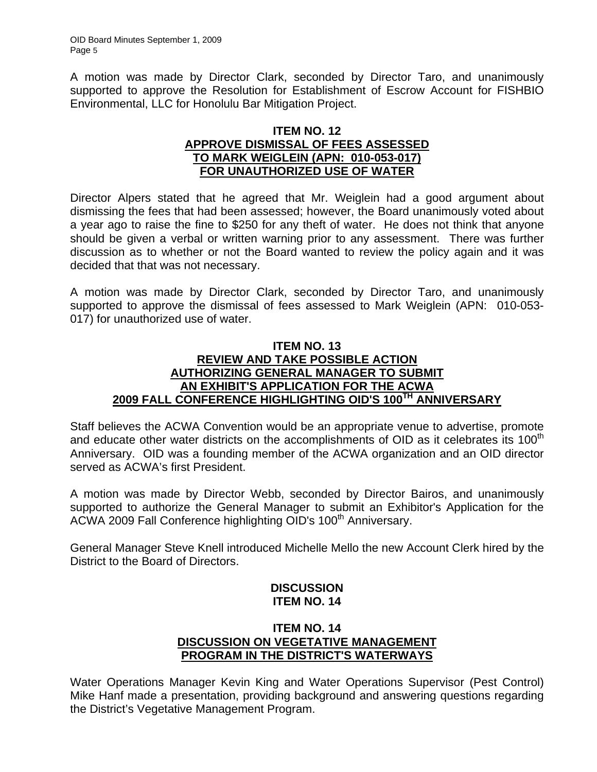A motion was made by Director Clark, seconded by Director Taro, and unanimously supported to approve the Resolution for Establishment of Escrow Account for FISHBIO Environmental, LLC for Honolulu Bar Mitigation Project.

### **ITEM NO. 12 APPROVE DISMISSAL OF FEES ASSESSED TO MARK WEIGLEIN (APN: 010-053-017) FOR UNAUTHORIZED USE OF WATER**

Director Alpers stated that he agreed that Mr. Weiglein had a good argument about dismissing the fees that had been assessed; however, the Board unanimously voted about a year ago to raise the fine to \$250 for any theft of water. He does not think that anyone should be given a verbal or written warning prior to any assessment. There was further discussion as to whether or not the Board wanted to review the policy again and it was decided that that was not necessary.

A motion was made by Director Clark, seconded by Director Taro, and unanimously supported to approve the dismissal of fees assessed to Mark Weiglein (APN: 010-053- 017) for unauthorized use of water.

### **ITEM NO. 13 REVIEW AND TAKE POSSIBLE ACTION AUTHORIZING GENERAL MANAGER TO SUBMIT AN EXHIBIT'S APPLICATION FOR THE ACWA 2009 FALL CONFERENCE HIGHLIGHTING OID'S 100TH ANNIVERSARY**

Staff believes the ACWA Convention would be an appropriate venue to advertise, promote and educate other water districts on the accomplishments of OID as it celebrates its 100<sup>th</sup> Anniversary. OID was a founding member of the ACWA organization and an OID director served as ACWA's first President.

A motion was made by Director Webb, seconded by Director Bairos, and unanimously supported to authorize the General Manager to submit an Exhibitor's Application for the ACWA 2009 Fall Conference highlighting OID's 100<sup>th</sup> Anniversary.

General Manager Steve Knell introduced Michelle Mello the new Account Clerk hired by the District to the Board of Directors.

## **DISCUSSION ITEM NO. 14**

### **ITEM NO. 14 DISCUSSION ON VEGETATIVE MANAGEMENT PROGRAM IN THE DISTRICT'S WATERWAYS**

Water Operations Manager Kevin King and Water Operations Supervisor (Pest Control) Mike Hanf made a presentation, providing background and answering questions regarding the District's Vegetative Management Program.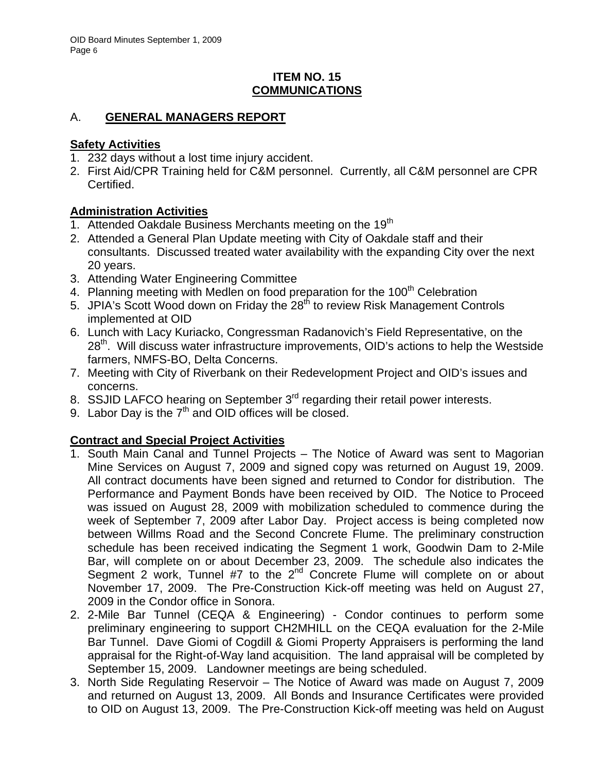### **ITEM NO. 15 COMMUNICATIONS**

# A. **GENERAL MANAGERS REPORT**

### **Safety Activities**

- 1. 232 days without a lost time injury accident.
- 2. First Aid/CPR Training held for C&M personnel. Currently, all C&M personnel are CPR Certified.

# **Administration Activities**

- 1. Attended Oakdale Business Merchants meeting on the  $19<sup>th</sup>$
- 2. Attended a General Plan Update meeting with City of Oakdale staff and their consultants. Discussed treated water availability with the expanding City over the next 20 years.
- 3. Attending Water Engineering Committee
- 4. Planning meeting with Medlen on food preparation for the 100<sup>th</sup> Celebration
- 5. JPIA's Scott Wood down on Friday the 28<sup>th</sup> to review Risk Management Controls implemented at OID
- 6. Lunch with Lacy Kuriacko, Congressman Radanovich's Field Representative, on the 28<sup>th</sup>. Will discuss water infrastructure improvements, OID's actions to help the Westside farmers, NMFS-BO, Delta Concerns.
- 7. Meeting with City of Riverbank on their Redevelopment Project and OID's issues and concerns.
- 8. SSJID LAFCO hearing on September 3<sup>rd</sup> regarding their retail power interests.
- 9. Labor Day is the  $7<sup>th</sup>$  and OID offices will be closed.

# **Contract and Special Project Activities**

- 1. South Main Canal and Tunnel Projects The Notice of Award was sent to Magorian Mine Services on August 7, 2009 and signed copy was returned on August 19, 2009. All contract documents have been signed and returned to Condor for distribution. The Performance and Payment Bonds have been received by OID. The Notice to Proceed was issued on August 28, 2009 with mobilization scheduled to commence during the week of September 7, 2009 after Labor Day. Project access is being completed now between Willms Road and the Second Concrete Flume. The preliminary construction schedule has been received indicating the Segment 1 work, Goodwin Dam to 2-Mile Bar, will complete on or about December 23, 2009. The schedule also indicates the Segment 2 work, Tunnel #7 to the  $2^{nd}$  Concrete Flume will complete on or about November 17, 2009. The Pre-Construction Kick-off meeting was held on August 27, 2009 in the Condor office in Sonora.
- 2. 2-Mile Bar Tunnel (CEQA & Engineering) Condor continues to perform some preliminary engineering to support CH2MHILL on the CEQA evaluation for the 2-Mile Bar Tunnel. Dave Giomi of Cogdill & Giomi Property Appraisers is performing the land appraisal for the Right-of-Way land acquisition. The land appraisal will be completed by September 15, 2009. Landowner meetings are being scheduled.
- 3. North Side Regulating Reservoir The Notice of Award was made on August 7, 2009 and returned on August 13, 2009. All Bonds and Insurance Certificates were provided to OID on August 13, 2009. The Pre-Construction Kick-off meeting was held on August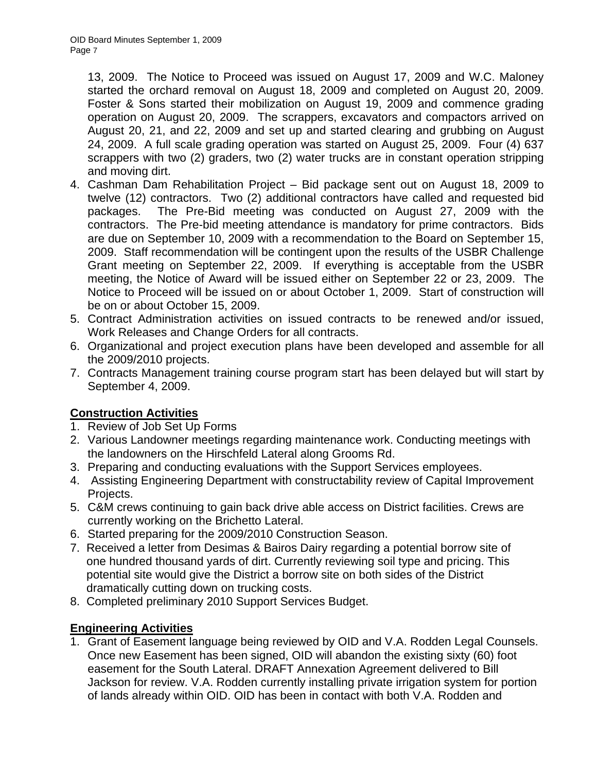13, 2009. The Notice to Proceed was issued on August 17, 2009 and W.C. Maloney started the orchard removal on August 18, 2009 and completed on August 20, 2009. Foster & Sons started their mobilization on August 19, 2009 and commence grading operation on August 20, 2009. The scrappers, excavators and compactors arrived on August 20, 21, and 22, 2009 and set up and started clearing and grubbing on August 24, 2009. A full scale grading operation was started on August 25, 2009. Four (4) 637 scrappers with two (2) graders, two (2) water trucks are in constant operation stripping and moving dirt.

- 4. Cashman Dam Rehabilitation Project Bid package sent out on August 18, 2009 to twelve (12) contractors. Two (2) additional contractors have called and requested bid packages. The Pre-Bid meeting was conducted on August 27, 2009 with the contractors. The Pre-bid meeting attendance is mandatory for prime contractors. Bids are due on September 10, 2009 with a recommendation to the Board on September 15, 2009. Staff recommendation will be contingent upon the results of the USBR Challenge Grant meeting on September 22, 2009. If everything is acceptable from the USBR meeting, the Notice of Award will be issued either on September 22 or 23, 2009. The Notice to Proceed will be issued on or about October 1, 2009. Start of construction will be on or about October 15, 2009.
- 5. Contract Administration activities on issued contracts to be renewed and/or issued, Work Releases and Change Orders for all contracts.
- 6. Organizational and project execution plans have been developed and assemble for all the 2009/2010 projects.
- 7. Contracts Management training course program start has been delayed but will start by September 4, 2009.

# **Construction Activities**

- 1. Review of Job Set Up Forms
- 2. Various Landowner meetings regarding maintenance work. Conducting meetings with the landowners on the Hirschfeld Lateral along Grooms Rd.
- 3. Preparing and conducting evaluations with the Support Services employees.
- 4. Assisting Engineering Department with constructability review of Capital Improvement Projects.
- 5. C&M crews continuing to gain back drive able access on District facilities. Crews are currently working on the Brichetto Lateral.
- 6. Started preparing for the 2009/2010 Construction Season.
- 7. Received a letter from Desimas & Bairos Dairy regarding a potential borrow site of one hundred thousand yards of dirt. Currently reviewing soil type and pricing. This potential site would give the District a borrow site on both sides of the District dramatically cutting down on trucking costs.
- 8. Completed preliminary 2010 Support Services Budget.

## **Engineering Activities**

1. Grant of Easement language being reviewed by OID and V.A. Rodden Legal Counsels. Once new Easement has been signed, OID will abandon the existing sixty (60) foot easement for the South Lateral. DRAFT Annexation Agreement delivered to Bill Jackson for review. V.A. Rodden currently installing private irrigation system for portion of lands already within OID. OID has been in contact with both V.A. Rodden and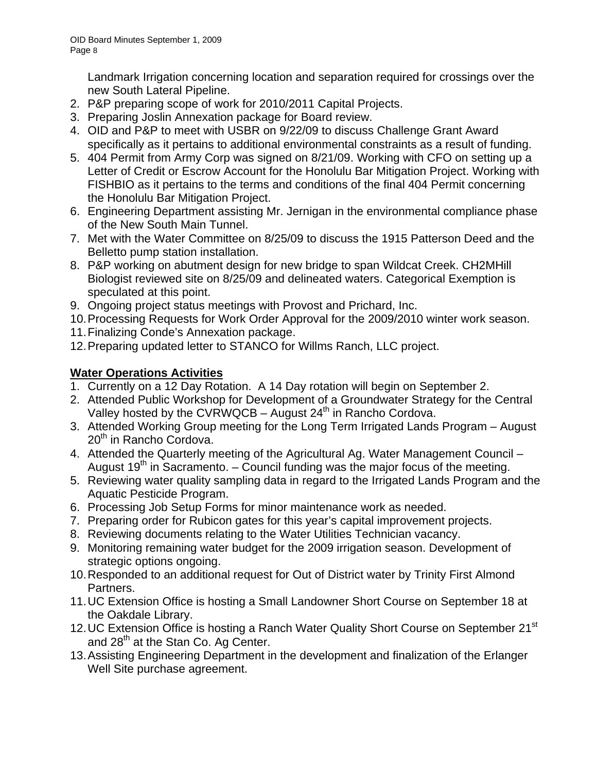Landmark Irrigation concerning location and separation required for crossings over the new South Lateral Pipeline.

- 2. P&P preparing scope of work for 2010/2011 Capital Projects.
- 3. Preparing Joslin Annexation package for Board review.
- 4. OID and P&P to meet with USBR on 9/22/09 to discuss Challenge Grant Award specifically as it pertains to additional environmental constraints as a result of funding.
- 5. 404 Permit from Army Corp was signed on 8/21/09. Working with CFO on setting up a Letter of Credit or Escrow Account for the Honolulu Bar Mitigation Project. Working with FISHBIO as it pertains to the terms and conditions of the final 404 Permit concerning the Honolulu Bar Mitigation Project.
- 6. Engineering Department assisting Mr. Jernigan in the environmental compliance phase of the New South Main Tunnel.
- 7. Met with the Water Committee on 8/25/09 to discuss the 1915 Patterson Deed and the Belletto pump station installation.
- 8. P&P working on abutment design for new bridge to span Wildcat Creek. CH2MHill Biologist reviewed site on 8/25/09 and delineated waters. Categorical Exemption is speculated at this point.
- 9. Ongoing project status meetings with Provost and Prichard, Inc.
- 10. Processing Requests for Work Order Approval for the 2009/2010 winter work season.
- 11. Finalizing Conde's Annexation package.
- 12. Preparing updated letter to STANCO for Willms Ranch, LLC project.

## **Water Operations Activities**

- 1. Currently on a 12 Day Rotation. A 14 Day rotation will begin on September 2.
- 2. Attended Public Workshop for Development of a Groundwater Strategy for the Central Valley hosted by the CVRWQCB – August  $24<sup>th</sup>$  in Rancho Cordova.
- 3. Attended Working Group meeting for the Long Term Irrigated Lands Program August 20<sup>th</sup> in Rancho Cordova.
- 4. Attended the Quarterly meeting of the Agricultural Ag. Water Management Council August 19<sup>th</sup> in Sacramento. – Council funding was the major focus of the meeting.
- 5. Reviewing water quality sampling data in regard to the Irrigated Lands Program and the Aquatic Pesticide Program.
- 6. Processing Job Setup Forms for minor maintenance work as needed.
- 7. Preparing order for Rubicon gates for this year's capital improvement projects.
- 8. Reviewing documents relating to the Water Utilities Technician vacancy.
- 9. Monitoring remaining water budget for the 2009 irrigation season. Development of strategic options ongoing.
- 10. Responded to an additional request for Out of District water by Trinity First Almond Partners.
- 11. UC Extension Office is hosting a Small Landowner Short Course on September 18 at the Oakdale Library.
- 12. UC Extension Office is hosting a Ranch Water Quality Short Course on September 21<sup>st</sup> and  $28<sup>th</sup>$  at the Stan Co. Ag Center.
- 13. Assisting Engineering Department in the development and finalization of the Erlanger Well Site purchase agreement.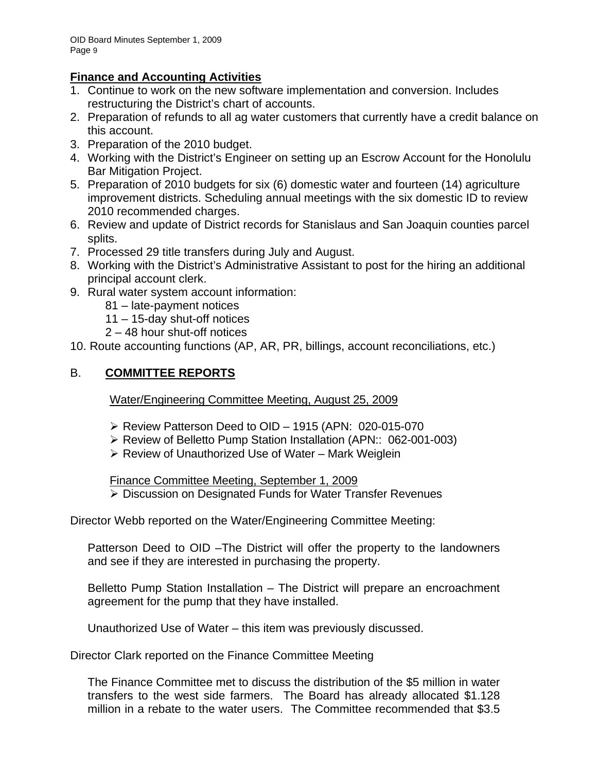## **Finance and Accounting Activities**

- 1. Continue to work on the new software implementation and conversion. Includes restructuring the District's chart of accounts.
- 2. Preparation of refunds to all ag water customers that currently have a credit balance on this account.
- 3. Preparation of the 2010 budget.
- 4. Working with the District's Engineer on setting up an Escrow Account for the Honolulu Bar Mitigation Project.
- 5. Preparation of 2010 budgets for six (6) domestic water and fourteen (14) agriculture improvement districts. Scheduling annual meetings with the six domestic ID to review 2010 recommended charges.
- 6. Review and update of District records for Stanislaus and San Joaquin counties parcel splits.
- 7. Processed 29 title transfers during July and August.
- 8. Working with the District's Administrative Assistant to post for the hiring an additional principal account clerk.
- 9. Rural water system account information:
	- 81 late-payment notices
	- 11 15-day shut-off notices
	- 2 48 hour shut-off notices

10. Route accounting functions (AP, AR, PR, billings, account reconciliations, etc.)

## B. **COMMITTEE REPORTS**

Water/Engineering Committee Meeting, August 25, 2009

- $\triangleright$  Review Patterson Deed to OID 1915 (APN: 020-015-070
- ¾ Review of Belletto Pump Station Installation (APN:: 062-001-003)
- $\triangleright$  Review of Unauthorized Use of Water Mark Weiglein

Finance Committee Meeting, September 1, 2009

¾ Discussion on Designated Funds for Water Transfer Revenues

Director Webb reported on the Water/Engineering Committee Meeting:

Patterson Deed to OID –The District will offer the property to the landowners and see if they are interested in purchasing the property.

Belletto Pump Station Installation – The District will prepare an encroachment agreement for the pump that they have installed.

Unauthorized Use of Water – this item was previously discussed.

Director Clark reported on the Finance Committee Meeting

The Finance Committee met to discuss the distribution of the \$5 million in water transfers to the west side farmers. The Board has already allocated \$1.128 million in a rebate to the water users. The Committee recommended that \$3.5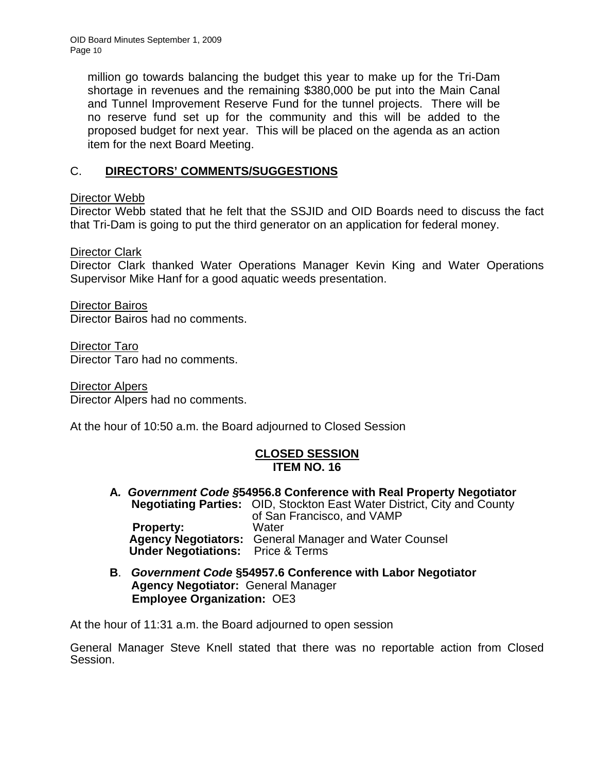OID Board Minutes September 1, 2009 Page 10

> million go towards balancing the budget this year to make up for the Tri-Dam shortage in revenues and the remaining \$380,000 be put into the Main Canal and Tunnel Improvement Reserve Fund for the tunnel projects. There will be no reserve fund set up for the community and this will be added to the proposed budget for next year. This will be placed on the agenda as an action item for the next Board Meeting.

### C. **DIRECTORS' COMMENTS/SUGGESTIONS**

Director Webb

Director Webb stated that he felt that the SSJID and OID Boards need to discuss the fact that Tri-Dam is going to put the third generator on an application for federal money.

Director Clark

Director Clark thanked Water Operations Manager Kevin King and Water Operations Supervisor Mike Hanf for a good aquatic weeds presentation.

Director Bairos Director Bairos had no comments.

Director Taro Director Taro had no comments.

Director Alpers Director Alpers had no comments.

At the hour of 10:50 a.m. the Board adjourned to Closed Session

### **CLOSED SESSION ITEM NO. 16**

- **A***. Government Code §***54956.8 Conference with Real Property Negotiator Negotiating Parties:** OID, Stockton East Water District, City and County of San Francisco, and VAMP **Property:** Water **Agency Negotiators:** General Manager and Water Counsel  **Under Negotiations:** Price & Terms
- **B**. *Government Code* **§54957.6 Conference with Labor Negotiator Agency Negotiator:** General Manager **Employee Organization:** OE3

At the hour of 11:31 a.m. the Board adjourned to open session

General Manager Steve Knell stated that there was no reportable action from Closed Session.